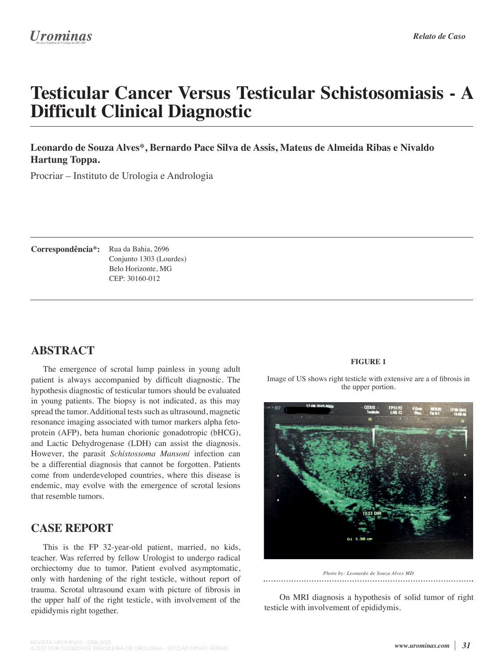# **Testicular Cancer Versus Testicular Schistosomiasis - A Difficult Clinical Diagnostic**

#### **Leonardo de Souza Alves\*, Bernardo Pace Silva de Assis, Mateus de Almeida Ribas e Nivaldo Hartung Toppa.**

Procriar – Instituto de Urologia e Andrologia

Correspondência\*: Rua da Bahia, 2696 Conjunto 1303 (Lourdes) Belo Horizonte, MG CEP: 30160-012

## **ABSTRACT**

The emergence of scrotal lump painless in young adult patient is always accompanied by difficult diagnostic. The hypothesis diagnostic of testicular tumors should be evaluated in young patients. The biopsy is not indicated, as this may spread the tumor. Additional tests such as ultrasound, magnetic resonance imaging associated with tumor markers alpha fetoprotein (AFP), beta human chorionic gonadotropic (bHCG), and Lactic Dehydrogenase (LDH) can assist the diagnosis. However, the parasit *Schistossoma Mansoni* infection can be a differential diagnosis that cannot be forgotten. Patients come from underdeveloped countries, where this disease is endemic, may evolve with the emergence of scrotal lesions that resemble tumors.

## **CASE REPORT**

This is the FP 32-year-old patient, married, no kids, teacher. Was referred by fellow Urologist to undergo radical orchiectomy due to tumor. Patient evolved asymptomatic, only with hardening of the right testicle, without report of trauma. Scrotal ultrasound exam with picture of fibrosis in the upper half of the right testicle, with involvement of the epididymis right together.

#### **FIGURE 1**

Image of US shows right testicle with extensive are a of fibrosis in the upper portion.



*Photo by: Leonardo de Souza Alves MD*

 On MRI diagnosis a hypothesis of solid tumor of right testicle with involvement of epididymis.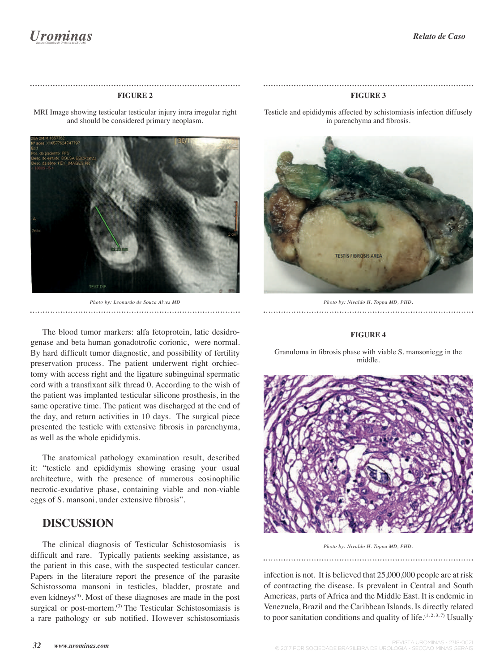#### **FIGURE 2**

MRI Image showing testicular testicular injury intra irregular right and should be considered primary neoplasm.



*Photo by: Leonardo de Souza Alves MD* 

The blood tumor markers: alfa fetoprotein, latic desidrogenase and beta human gonadotrofic corionic, were normal. By hard difficult tumor diagnostic, and possibility of fertility preservation process. The patient underwent right orchiectomy with access right and the ligature subinguinal spermatic cord with a transfixant silk thread 0. According to the wish of the patient was implanted testicular silicone prosthesis, in the same operative time. The patient was discharged at the end of the day, and return activities in 10 days. The surgical piece presented the testicle with extensive fibrosis in parenchyma, as well as the whole epididymis.

The anatomical pathology examination result, described it: "testicle and epididymis showing erasing your usual architecture, with the presence of numerous eosinophilic necrotic-exudative phase, containing viable and non-viable eggs of S. mansoni, under extensive fibrosis".

#### **DISCUSSION**

The clinical diagnosis of Testicular Schistosomiasis is difficult and rare. Typically patients seeking assistance, as the patient in this case, with the suspected testicular cancer. Papers in the literature report the presence of the parasite Schistossoma mansoni in testicles, bladder, prostate and even kidneys<sup>(3)</sup>. Most of these diagnoses are made in the post surgical or post-mortem.<sup>(3)</sup> The Testicular Schistosomiasis is a rare pathology or sub notified. However schistosomiasis

Testicle and epididymis affected by schistomiasis infection diffusely in parenchyma and fibrosis.

**FIGURE 3**



*Photo by: Nivaldo H. Toppa MD, PHD.* 

#### **FIGURE 4**

Granuloma in fibrosis phase with viable S. mansoniegg in the middle.



*Photo by: Nivaldo H. Toppa MD, PHD.*

infection is not. It is believed that 25,000,000 people are at risk of contracting the disease. Is prevalent in Central and South Americas, parts of Africa and the Middle East. It is endemic in Venezuela, Brazil and the Caribbean Islands. Is directly related to poor sanitation conditions and quality of life. $(1, 2, 3, 7)$  Usually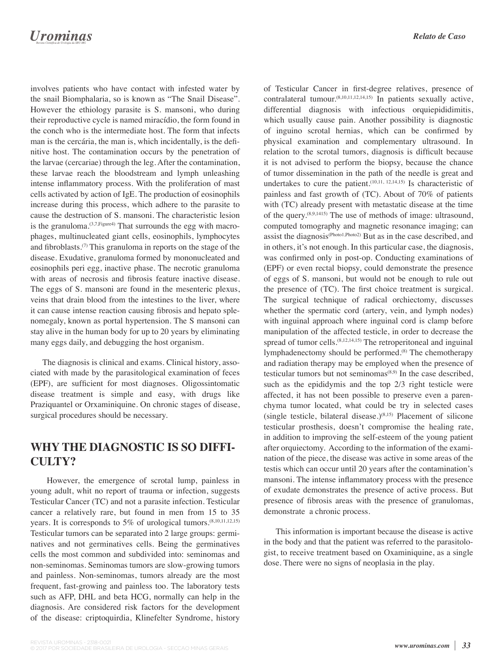## **Urominas**

involves patients who have contact with infested water by the snail Biomphalaria, so is known as "The Snail Disease". However the ethiology parasite is S. mansoni, who during their reproductive cycle is named miracídio, the form found in the conch who is the intermediate host. The form that infects man is the cercária, the man is, which incidentally, is the definitive host. The contamination occurs by the penetration of the larvae (cercariae) through the leg. After the contamination, these larvae reach the bloodstream and lymph unleashing intense inflammatory process. With the proliferation of mast cells activated by action of IgE. The production of eosinophils increase during this process, which adhere to the parasite to cause the destruction of S. mansoni. The characteristic lesion is the granuloma.<sup>(3,7,Figure4)</sup> That surrounds the egg with macrophages, multinucleated giant cells, eosinophils, lymphocytes and fibroblasts.<sup>(7)</sup> This granuloma in reports on the stage of the disease. Exudative, granuloma formed by mononucleated and eosinophils peri egg, inactive phase. The necrotic granuloma with areas of necrosis and fibrosis feature inactive disease. The eggs of S. mansoni are found in the mesenteric plexus, veins that drain blood from the intestines to the liver, where it can cause intense reaction causing fibrosis and hepato splenomegaly, known as portal hypertension. The S mansoni can stay alive in the human body for up to 20 years by eliminating many eggs daily, and debugging the host organism.

The diagnosis is clinical and exams. Clinical history, associated with made by the parasitological examination of feces (EPF), are sufficient for most diagnoses. Oligossintomatic disease treatment is simple and easy, with drugs like Praziquantel or Orxaminiquine. On chronic stages of disease, surgical procedures should be necessary.

#### **WHY THE DIAGNOSTIC IS SO DIFFI-CULTY?**

 However, the emergence of scrotal lump, painless in young adult, whit no report of trauma or infection, suggests Testicular Cancer (TC) and not a parasite infection. Testicular cancer a relatively rare, but found in men from 15 to 35 years. It is corresponds to 5% of urological tumors.(8,10,11,12,15) Testicular tumors can be separated into 2 large groups: germinatives and not germinatives cells. Being the germinatives cells the most common and subdivided into: seminomas and non-seminomas. Seminomas tumors are slow-growing tumors and painless. Non-seminomas, tumors already are the most frequent, fast-growing and painless too. The laboratory tests such as AFP, DHL and beta HCG, normally can help in the diagnosis. Are considered risk factors for the development of the disease: criptoquirdia, Klinefelter Syndrome, history

of Testicular Cancer in first-degree relatives, presence of contralateral tumour.(8,10,11,12,14,15) In patients sexually active, differential diagnosis with infectious orquiepididimitis, which usually cause pain. Another possibility is diagnostic of inguino scrotal hernias, which can be confirmed by physical examination and complementary ultrasound. In relation to the scrotal tumors, diagnosis is difficult because it is not advised to perform the biopsy, because the chance of tumor dissemination in the path of the needle is great and undertakes to cure the patient.<sup> $(10,11, 12,14,15)$ </sup> Is characteristic of painless and fast growth of (TC). About of 70% of patients with (TC) already present with metastatic disease at the time of the query.(8,9,1415) The use of methods of image: ultrasound, computed tomography and magnetic resonance imaging; can assist the diagnosis(Photo1,Photo2) But as in the case described, and in others, it's not enough. In this particular case, the diagnosis, was confirmed only in post-op. Conducting examinations of (EPF) or even rectal biopsy, could demonstrate the presence of eggs of S. mansoni, but would not be enough to rule out the presence of  $(TC)$ . The first choice treatment is surgical. The surgical technique of radical orchiectomy, discusses whether the spermatic cord (artery, vein, and lymph nodes) with inguinal approach where inguinal cord is clamp before manipulation of the affected testicle, in order to decrease the spread of tumor cells.<sup>(8,12,14,15)</sup> The retroperitoneal and inguinal lymphadenectomy should be performed.<sup>(8)</sup> The chemotherapy and radiation therapy may be employed when the presence of testicular tumors but not seminomas $(8,9)$  In the case described, such as the epididymis and the top 2/3 right testicle were affected, it has not been possible to preserve even a parenchyma tumor located, what could be try in selected cases (single testicle, bilateral disease.) $(8,15)$  Placement of silicone testicular prosthesis, doesn't compromise the healing rate, in addition to improving the self-esteem of the young patient after orquiectomy. According to the information of the examination of the piece, the disease was active in some areas of the testis which can occur until 20 years after the contamination's mansoni. The intense inflammatory process with the presence of exudate demonstrates the presence of active process. But presence of fibrosis areas with the presence of granulomas, demonstrate a chronic process.

This information is important because the disease is active in the body and that the patient was referred to the parasitologist, to receive treatment based on Oxaminiquine, as a single dose. There were no signs of neoplasia in the play.